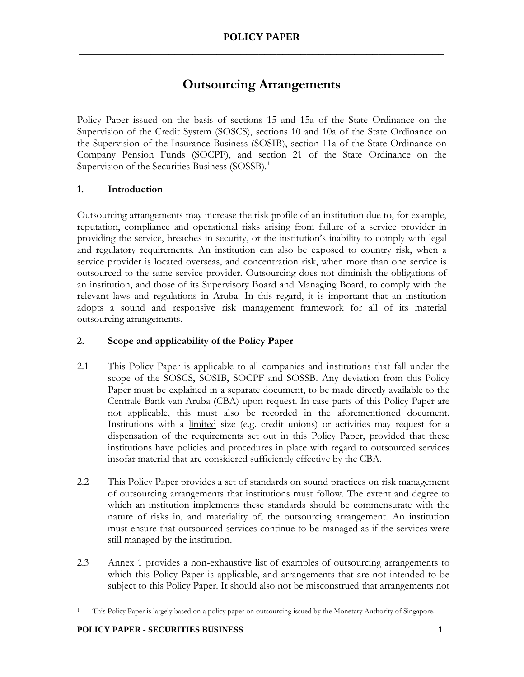# **Outsourcing Arrangements**

Policy Paper issued on the basis of sections 15 and 15a of the State Ordinance on the Supervision of the Credit System (SOSCS), sections 10 and 10a of the State Ordinance on the Supervision of the Insurance Business (SOSIB), section 11a of the State Ordinance on Company Pension Funds (SOCPF), and section 21 of the State Ordinance on the Supervision of the Securities Business (SOSSB).<sup>1</sup>

#### **1. Introduction**

Outsourcing arrangements may increase the risk profile of an institution due to, for example, reputation, compliance and operational risks arising from failure of a service provider in providing the service, breaches in security, or the institution's inability to comply with legal and regulatory requirements. An institution can also be exposed to country risk, when a service provider is located overseas, and concentration risk, when more than one service is outsourced to the same service provider. Outsourcing does not diminish the obligations of an institution, and those of its Supervisory Board and Managing Board, to comply with the relevant laws and regulations in Aruba. In this regard, it is important that an institution adopts a sound and responsive risk management framework for all of its material outsourcing arrangements.

## **2. Scope and applicability of the Policy Paper**

- 2.1 This Policy Paper is applicable to all companies and institutions that fall under the scope of the SOSCS, SOSIB, SOCPF and SOSSB. Any deviation from this Policy Paper must be explained in a separate document, to be made directly available to the Centrale Bank van Aruba (CBA) upon request. In case parts of this Policy Paper are not applicable, this must also be recorded in the aforementioned document. Institutions with a limited size (e.g. credit unions) or activities may request for a dispensation of the requirements set out in this Policy Paper, provided that these institutions have policies and procedures in place with regard to outsourced services insofar material that are considered sufficiently effective by the CBA.
- 2.2 This Policy Paper provides a set of standards on sound practices on risk management of outsourcing arrangements that institutions must follow. The extent and degree to which an institution implements these standards should be commensurate with the nature of risks in, and materiality of, the outsourcing arrangement. An institution must ensure that outsourced services continue to be managed as if the services were still managed by the institution.
- 2.3 Annex 1 provides a non-exhaustive list of examples of outsourcing arrangements to which this Policy Paper is applicable, and arrangements that are not intended to be subject to this Policy Paper. It should also not be misconstrued that arrangements not

 $\overline{a}$ <sup>1</sup> This Policy Paper is largely based on a policy paper on outsourcing issued by the Monetary Authority of Singapore.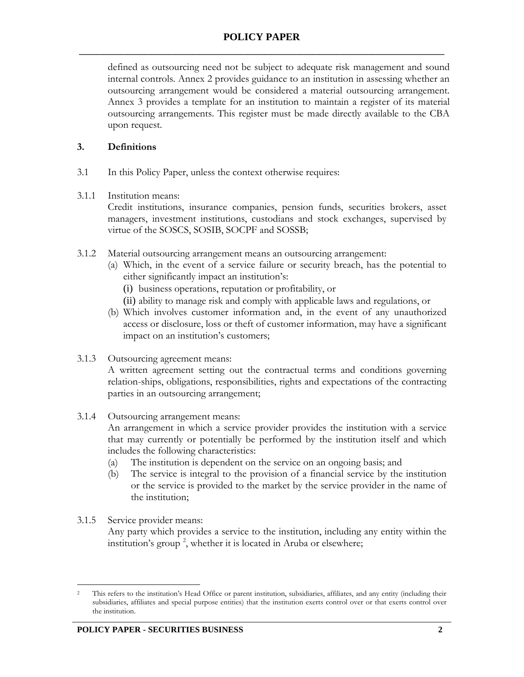defined as outsourcing need not be subject to adequate risk management and sound internal controls. Annex 2 provides guidance to an institution in assessing whether an outsourcing arrangement would be considered a material outsourcing arrangement. Annex 3 provides a template for an institution to maintain a register of its material outsourcing arrangements. This register must be made directly available to the CBA upon request.

## **3. Definitions**

3.1 In this Policy Paper, unless the context otherwise requires:

#### 3.1.1 Institution means:

Credit institutions, insurance companies, pension funds, securities brokers, asset managers, investment institutions, custodians and stock exchanges, supervised by virtue of the SOSCS, SOSIB, SOCPF and SOSSB;

- 3.1.2 Material outsourcing arrangement means an outsourcing arrangement:
	- (a) Which, in the event of a service failure or security breach, has the potential to either significantly impact an institution's:
		- (i) business operations, reputation or profitability, or
		- (ii) ability to manage risk and comply with applicable laws and regulations, or
	- (b) Which involves customer information and, in the event of any unauthorized access or disclosure, loss or theft of customer information, may have a significant impact on an institution's customers;
- 3.1.3 Outsourcing agreement means:

A written agreement setting out the contractual terms and conditions governing relation-ships, obligations, responsibilities, rights and expectations of the contracting parties in an outsourcing arrangement;

3.1.4 Outsourcing arrangement means:

An arrangement in which a service provider provides the institution with a service that may currently or potentially be performed by the institution itself and which includes the following characteristics:

- (a) The institution is dependent on the service on an ongoing basis; and
- (b) The service is integral to the provision of a financial service by the institution or the service is provided to the market by the service provider in the name of the institution;
- 3.1.5 Service provider means:

Any party which provides a service to the institution, including any entity within the institution's group<sup>2</sup>, whether it is located in Aruba or elsewhere;

 $\overline{a}$ <sup>2</sup> This refers to the institution's Head Office or parent institution, subsidiaries, affiliates, and any entity (including their subsidiaries, affiliates and special purpose entities) that the institution exerts control over or that exerts control over the institution.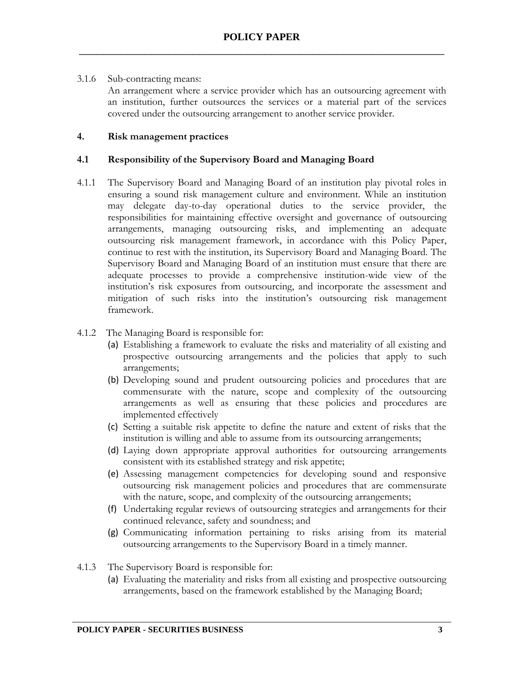#### 3.1.6 Sub-contracting means:

An arrangement where a service provider which has an outsourcing agreement with an institution, further outsources the services or a material part of the services covered under the outsourcing arrangement to another service provider.

## **4. Risk management practices**

#### **4.1 Responsibility of the Supervisory Board and Managing Board**

4.1.1 The Supervisory Board and Managing Board of an institution play pivotal roles in ensuring a sound risk management culture and environment. While an institution may delegate day-to-day operational duties to the service provider, the responsibilities for maintaining effective oversight and governance of outsourcing arrangements, managing outsourcing risks, and implementing an adequate outsourcing risk management framework, in accordance with this Policy Paper, continue to rest with the institution, its Supervisory Board and Managing Board. The Supervisory Board and Managing Board of an institution must ensure that there are adequate processes to provide a comprehensive institution-wide view of the institution's risk exposures from outsourcing, and incorporate the assessment and mitigation of such risks into the institution's outsourcing risk management framework.

#### 4.1.2 The Managing Board is responsible for:

- (a) Establishing a framework to evaluate the risks and materiality of all existing and prospective outsourcing arrangements and the policies that apply to such arrangements;
- (b) Developing sound and prudent outsourcing policies and procedures that are commensurate with the nature, scope and complexity of the outsourcing arrangements as well as ensuring that these policies and procedures are implemented effectively
- (c) Setting a suitable risk appetite to define the nature and extent of risks that the institution is willing and able to assume from its outsourcing arrangements;
- (d) Laying down appropriate approval authorities for outsourcing arrangements consistent with its established strategy and risk appetite;
- (e) Assessing management competencies for developing sound and responsive outsourcing risk management policies and procedures that are commensurate with the nature, scope, and complexity of the outsourcing arrangements;
- (f) Undertaking regular reviews of outsourcing strategies and arrangements for their continued relevance, safety and soundness; and
- (g) Communicating information pertaining to risks arising from its material outsourcing arrangements to the Supervisory Board in a timely manner.
- 4.1.3 The Supervisory Board is responsible for:
	- (a) Evaluating the materiality and risks from all existing and prospective outsourcing arrangements, based on the framework established by the Managing Board;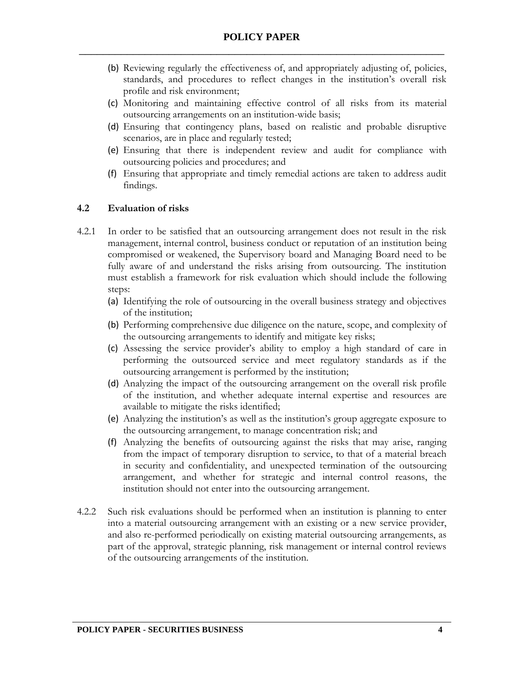- (b) Reviewing regularly the effectiveness of, and appropriately adjusting of, policies, standards, and procedures to reflect changes in the institution's overall risk profile and risk environment;
- (c) Monitoring and maintaining effective control of all risks from its material outsourcing arrangements on an institution-wide basis;
- (d) Ensuring that contingency plans, based on realistic and probable disruptive scenarios, are in place and regularly tested;
- (e) Ensuring that there is independent review and audit for compliance with outsourcing policies and procedures; and
- (f) Ensuring that appropriate and timely remedial actions are taken to address audit findings.

#### **4.2 Evaluation of risks**

- 4.2.1 In order to be satisfied that an outsourcing arrangement does not result in the risk management, internal control, business conduct or reputation of an institution being compromised or weakened, the Supervisory board and Managing Board need to be fully aware of and understand the risks arising from outsourcing. The institution must establish a framework for risk evaluation which should include the following steps:
	- (a) Identifying the role of outsourcing in the overall business strategy and objectives of the institution;
	- (b) Performing comprehensive due diligence on the nature, scope, and complexity of the outsourcing arrangements to identify and mitigate key risks;
	- (c) Assessing the service provider's ability to employ a high standard of care in performing the outsourced service and meet regulatory standards as if the outsourcing arrangement is performed by the institution;
	- (d) Analyzing the impact of the outsourcing arrangement on the overall risk profile of the institution, and whether adequate internal expertise and resources are available to mitigate the risks identified;
	- (e) Analyzing the institution's as well as the institution's group aggregate exposure to the outsourcing arrangement, to manage concentration risk; and
	- (f) Analyzing the benefits of outsourcing against the risks that may arise, ranging from the impact of temporary disruption to service, to that of a material breach in security and confidentiality, and unexpected termination of the outsourcing arrangement, and whether for strategic and internal control reasons, the institution should not enter into the outsourcing arrangement.
- 4.2.2 Such risk evaluations should be performed when an institution is planning to enter into a material outsourcing arrangement with an existing or a new service provider, and also re-performed periodically on existing material outsourcing arrangements, as part of the approval, strategic planning, risk management or internal control reviews of the outsourcing arrangements of the institution.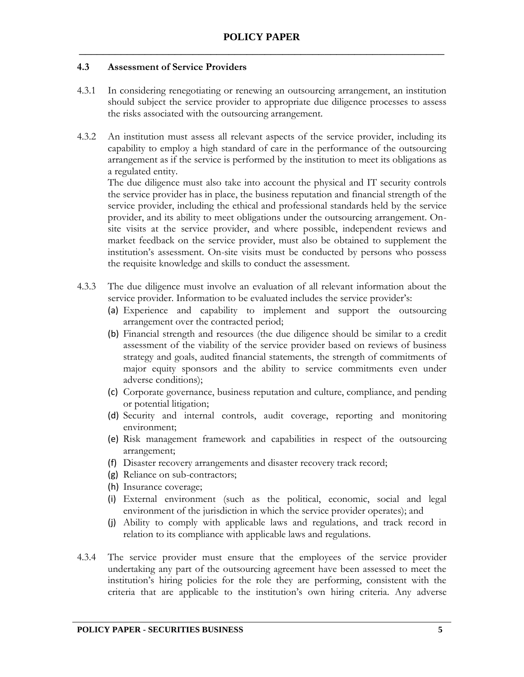#### **4.3 Assessment of Service Providers**

- 4.3.1 In considering renegotiating or renewing an outsourcing arrangement, an institution should subject the service provider to appropriate due diligence processes to assess the risks associated with the outsourcing arrangement.
- 4.3.2 An institution must assess all relevant aspects of the service provider, including its capability to employ a high standard of care in the performance of the outsourcing arrangement as if the service is performed by the institution to meet its obligations as a regulated entity.

The due diligence must also take into account the physical and IT security controls the service provider has in place, the business reputation and financial strength of the service provider, including the ethical and professional standards held by the service provider, and its ability to meet obligations under the outsourcing arrangement. Onsite visits at the service provider, and where possible, independent reviews and market feedback on the service provider, must also be obtained to supplement the institution's assessment. On-site visits must be conducted by persons who possess the requisite knowledge and skills to conduct the assessment.

- 4.3.3 The due diligence must involve an evaluation of all relevant information about the service provider. Information to be evaluated includes the service provider's:
	- (a) Experience and capability to implement and support the outsourcing arrangement over the contracted period;
	- (b) Financial strength and resources (the due diligence should be similar to a credit assessment of the viability of the service provider based on reviews of business strategy and goals, audited financial statements, the strength of commitments of major equity sponsors and the ability to service commitments even under adverse conditions);
	- (c) Corporate governance, business reputation and culture, compliance, and pending or potential litigation;
	- (d) Security and internal controls, audit coverage, reporting and monitoring environment;
	- (e) Risk management framework and capabilities in respect of the outsourcing arrangement;
	- (f) Disaster recovery arrangements and disaster recovery track record;
	- (g) Reliance on sub-contractors;
	- (h) Insurance coverage;
	- (i) External environment (such as the political, economic, social and legal environment of the jurisdiction in which the service provider operates); and
	- (j) Ability to comply with applicable laws and regulations, and track record in relation to its compliance with applicable laws and regulations.
- 4.3.4 The service provider must ensure that the employees of the service provider undertaking any part of the outsourcing agreement have been assessed to meet the institution's hiring policies for the role they are performing, consistent with the criteria that are applicable to the institution's own hiring criteria. Any adverse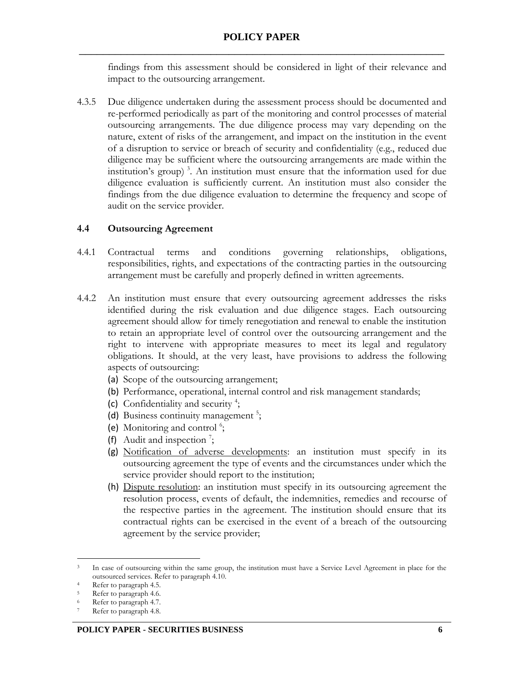findings from this assessment should be considered in light of their relevance and impact to the outsourcing arrangement.

4.3.5 Due diligence undertaken during the assessment process should be documented and re-performed periodically as part of the monitoring and control processes of material outsourcing arrangements. The due diligence process may vary depending on the nature, extent of risks of the arrangement, and impact on the institution in the event of a disruption to service or breach of security and confidentiality (e.g., reduced due diligence may be sufficient where the outsourcing arrangements are made within the institution's group) <sup>3</sup> . An institution must ensure that the information used for due diligence evaluation is sufficiently current. An institution must also consider the findings from the due diligence evaluation to determine the frequency and scope of audit on the service provider.

## **4.4 Outsourcing Agreement**

- 4.4.1 Contractual terms and conditions governing relationships, obligations, responsibilities, rights, and expectations of the contracting parties in the outsourcing arrangement must be carefully and properly defined in written agreements.
- 4.4.2 An institution must ensure that every outsourcing agreement addresses the risks identified during the risk evaluation and due diligence stages. Each outsourcing agreement should allow for timely renegotiation and renewal to enable the institution to retain an appropriate level of control over the outsourcing arrangement and the right to intervene with appropriate measures to meet its legal and regulatory obligations. It should, at the very least, have provisions to address the following aspects of outsourcing:
	- (a) Scope of the outsourcing arrangement;
	- (b) Performance, operational, internal control and risk management standards;
	- (c) Confidentiality and security <sup>4</sup> ;
	- (d) Business continuity management<sup>5</sup>;
	- (e) Monitoring and control<sup>6</sup>;
	- (f) Audit and inspection  $\frac{7}{7}$ ;
	- (g) Notification of adverse developments: an institution must specify in its outsourcing agreement the type of events and the circumstances under which the service provider should report to the institution;
	- (h) Dispute resolution: an institution must specify in its outsourcing agreement the resolution process, events of default, the indemnities, remedies and recourse of the respective parties in the agreement. The institution should ensure that its contractual rights can be exercised in the event of a breach of the outsourcing agreement by the service provider;

 $\overline{a}$ <sup>3</sup> In case of outsourcing within the same group, the institution must have a Service Level Agreement in place for the outsourced services. Refer to paragraph 4.10.

<sup>4</sup> Refer to paragraph 4.5.

<sup>&</sup>lt;sup>5</sup> Refer to paragraph 4.6.

Refer to paragraph 4.7.

Refer to paragraph 4.8.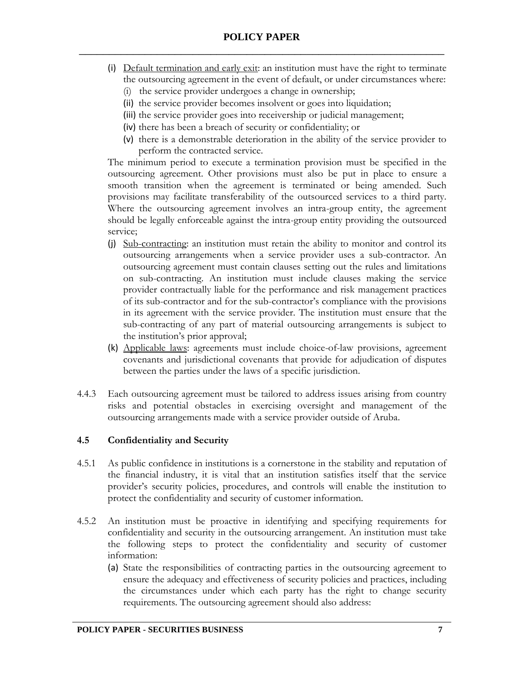- (i) Default termination and early exit: an institution must have the right to terminate the outsourcing agreement in the event of default, or under circumstances where:
	- (i) the service provider undergoes a change in ownership;
	- (ii) the service provider becomes insolvent or goes into liquidation;
	- (iii) the service provider goes into receivership or judicial management;
	- (iv) there has been a breach of security or confidentiality; or
	- (v) there is a demonstrable deterioration in the ability of the service provider to perform the contracted service.

The minimum period to execute a termination provision must be specified in the outsourcing agreement. Other provisions must also be put in place to ensure a smooth transition when the agreement is terminated or being amended. Such provisions may facilitate transferability of the outsourced services to a third party. Where the outsourcing agreement involves an intra-group entity, the agreement should be legally enforceable against the intra-group entity providing the outsourced service;

- (j) Sub-contracting: an institution must retain the ability to monitor and control its outsourcing arrangements when a service provider uses a sub-contractor. An outsourcing agreement must contain clauses setting out the rules and limitations on sub-contracting. An institution must include clauses making the service provider contractually liable for the performance and risk management practices of its sub-contractor and for the sub-contractor's compliance with the provisions in its agreement with the service provider. The institution must ensure that the sub-contracting of any part of material outsourcing arrangements is subject to the institution's prior approval;
- (k) Applicable laws: agreements must include choice-of-law provisions, agreement covenants and jurisdictional covenants that provide for adjudication of disputes between the parties under the laws of a specific jurisdiction.
- 4.4.3 Each outsourcing agreement must be tailored to address issues arising from country risks and potential obstacles in exercising oversight and management of the outsourcing arrangements made with a service provider outside of Aruba.

## **4.5 Confidentiality and Security**

- 4.5.1 As public confidence in institutions is a cornerstone in the stability and reputation of the financial industry, it is vital that an institution satisfies itself that the service provider's security policies, procedures, and controls will enable the institution to protect the confidentiality and security of customer information.
- 4.5.2 An institution must be proactive in identifying and specifying requirements for confidentiality and security in the outsourcing arrangement. An institution must take the following steps to protect the confidentiality and security of customer information:
	- (a) State the responsibilities of contracting parties in the outsourcing agreement to ensure the adequacy and effectiveness of security policies and practices, including the circumstances under which each party has the right to change security requirements. The outsourcing agreement should also address: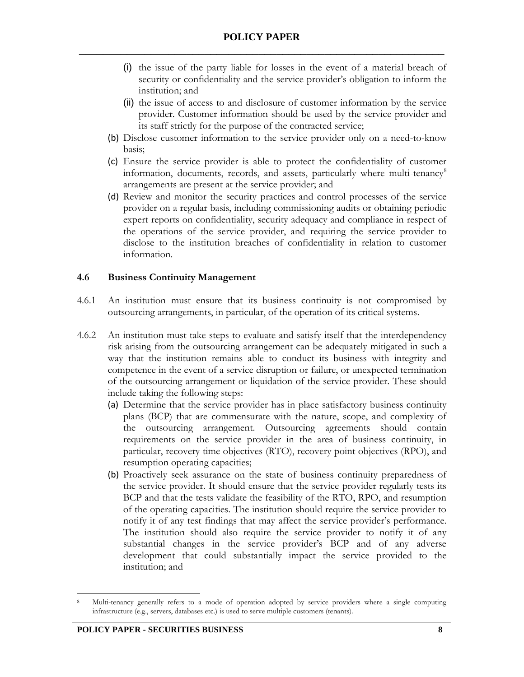- (i) the issue of the party liable for losses in the event of a material breach of security or confidentiality and the service provider's obligation to inform the institution; and
- (ii) the issue of access to and disclosure of customer information by the service provider. Customer information should be used by the service provider and its staff strictly for the purpose of the contracted service;
- (b) Disclose customer information to the service provider only on a need-to-know basis;
- (c) Ensure the service provider is able to protect the confidentiality of customer information, documents, records, and assets, particularly where multi-tenancy<sup>8</sup> arrangements are present at the service provider; and
- (d) Review and monitor the security practices and control processes of the service provider on a regular basis, including commissioning audits or obtaining periodic expert reports on confidentiality, security adequacy and compliance in respect of the operations of the service provider, and requiring the service provider to disclose to the institution breaches of confidentiality in relation to customer information.

#### **4.6 Business Continuity Management**

- 4.6.1 An institution must ensure that its business continuity is not compromised by outsourcing arrangements, in particular, of the operation of its critical systems.
- 4.6.2 An institution must take steps to evaluate and satisfy itself that the interdependency risk arising from the outsourcing arrangement can be adequately mitigated in such a way that the institution remains able to conduct its business with integrity and competence in the event of a service disruption or failure, or unexpected termination of the outsourcing arrangement or liquidation of the service provider. These should include taking the following steps:
	- (a) Determine that the service provider has in place satisfactory business continuity plans (BCP) that are commensurate with the nature, scope, and complexity of the outsourcing arrangement. Outsourcing agreements should contain requirements on the service provider in the area of business continuity, in particular, recovery time objectives (RTO), recovery point objectives (RPO), and resumption operating capacities;
	- (b) Proactively seek assurance on the state of business continuity preparedness of the service provider. It should ensure that the service provider regularly tests its BCP and that the tests validate the feasibility of the RTO, RPO, and resumption of the operating capacities. The institution should require the service provider to notify it of any test findings that may affect the service provider's performance. The institution should also require the service provider to notify it of any substantial changes in the service provider's BCP and of any adverse development that could substantially impact the service provided to the institution; and

 $\overline{a}$ 

<sup>8</sup> Multi-tenancy generally refers to a mode of operation adopted by service providers where a single computing infrastructure (e.g., servers, databases etc.) is used to serve multiple customers (tenants).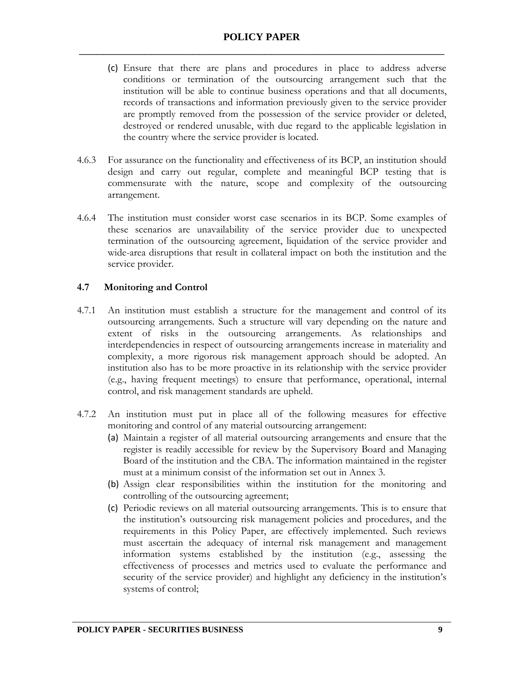- (c) Ensure that there are plans and procedures in place to address adverse conditions or termination of the outsourcing arrangement such that the institution will be able to continue business operations and that all documents, records of transactions and information previously given to the service provider are promptly removed from the possession of the service provider or deleted, destroyed or rendered unusable, with due regard to the applicable legislation in the country where the service provider is located.
- 4.6.3 For assurance on the functionality and effectiveness of its BCP, an institution should design and carry out regular, complete and meaningful BCP testing that is commensurate with the nature, scope and complexity of the outsourcing arrangement.
- 4.6.4 The institution must consider worst case scenarios in its BCP. Some examples of these scenarios are unavailability of the service provider due to unexpected termination of the outsourcing agreement, liquidation of the service provider and wide-area disruptions that result in collateral impact on both the institution and the service provider.

## **4.7 Monitoring and Control**

- 4.7.1 An institution must establish a structure for the management and control of its outsourcing arrangements. Such a structure will vary depending on the nature and extent of risks in the outsourcing arrangements. As relationships and interdependencies in respect of outsourcing arrangements increase in materiality and complexity, a more rigorous risk management approach should be adopted. An institution also has to be more proactive in its relationship with the service provider (e.g., having frequent meetings) to ensure that performance, operational, internal control, and risk management standards are upheld.
- 4.7.2 An institution must put in place all of the following measures for effective monitoring and control of any material outsourcing arrangement:
	- (a) Maintain a register of all material outsourcing arrangements and ensure that the register is readily accessible for review by the Supervisory Board and Managing Board of the institution and the CBA. The information maintained in the register must at a minimum consist of the information set out in Annex 3.
	- (b) Assign clear responsibilities within the institution for the monitoring and controlling of the outsourcing agreement;
	- (c) Periodic reviews on all material outsourcing arrangements. This is to ensure that the institution's outsourcing risk management policies and procedures, and the requirements in this Policy Paper, are effectively implemented. Such reviews must ascertain the adequacy of internal risk management and management information systems established by the institution (e.g., assessing the effectiveness of processes and metrics used to evaluate the performance and security of the service provider) and highlight any deficiency in the institution's systems of control;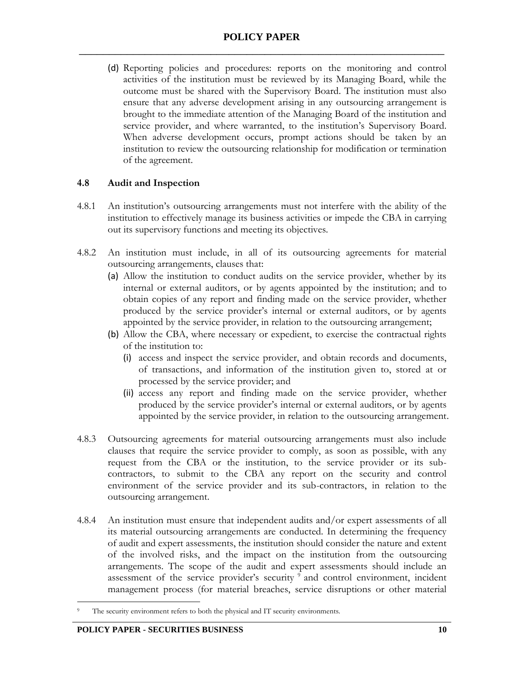(d) Reporting policies and procedures: reports on the monitoring and control activities of the institution must be reviewed by its Managing Board, while the outcome must be shared with the Supervisory Board. The institution must also ensure that any adverse development arising in any outsourcing arrangement is brought to the immediate attention of the Managing Board of the institution and service provider, and where warranted, to the institution's Supervisory Board. When adverse development occurs, prompt actions should be taken by an institution to review the outsourcing relationship for modification or termination of the agreement.

#### **4.8 Audit and Inspection**

- 4.8.1 An institution's outsourcing arrangements must not interfere with the ability of the institution to effectively manage its business activities or impede the CBA in carrying out its supervisory functions and meeting its objectives.
- 4.8.2 An institution must include, in all of its outsourcing agreements for material outsourcing arrangements, clauses that:
	- (a) Allow the institution to conduct audits on the service provider, whether by its internal or external auditors, or by agents appointed by the institution; and to obtain copies of any report and finding made on the service provider, whether produced by the service provider's internal or external auditors, or by agents appointed by the service provider, in relation to the outsourcing arrangement;
	- (b) Allow the CBA, where necessary or expedient, to exercise the contractual rights of the institution to:
		- (i) access and inspect the service provider, and obtain records and documents, of transactions, and information of the institution given to, stored at or processed by the service provider; and
		- (ii) access any report and finding made on the service provider, whether produced by the service provider's internal or external auditors, or by agents appointed by the service provider, in relation to the outsourcing arrangement.
- 4.8.3 Outsourcing agreements for material outsourcing arrangements must also include clauses that require the service provider to comply, as soon as possible, with any request from the CBA or the institution, to the service provider or its subcontractors, to submit to the CBA any report on the security and control environment of the service provider and its sub-contractors, in relation to the outsourcing arrangement.
- 4.8.4 An institution must ensure that independent audits and/or expert assessments of all its material outsourcing arrangements are conducted. In determining the frequency of audit and expert assessments, the institution should consider the nature and extent of the involved risks, and the impact on the institution from the outsourcing arrangements. The scope of the audit and expert assessments should include an assessment of the service provider's security <sup>9</sup> and control environment, incident management process (for material breaches, service disruptions or other material

 $\overline{a}$ The security environment refers to both the physical and IT security environments.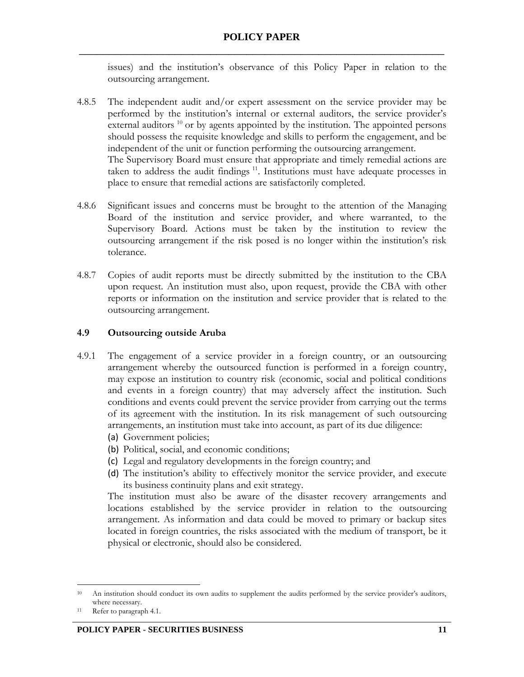issues) and the institution's observance of this Policy Paper in relation to the outsourcing arrangement.

- 4.8.5 The independent audit and/or expert assessment on the service provider may be performed by the institution's internal or external auditors, the service provider's external auditors  $10$  or by agents appointed by the institution. The appointed persons should possess the requisite knowledge and skills to perform the engagement, and be independent of the unit or function performing the outsourcing arrangement. The Supervisory Board must ensure that appropriate and timely remedial actions are taken to address the audit findings <sup>11</sup>. Institutions must have adequate processes in place to ensure that remedial actions are satisfactorily completed.
- 4.8.6 Significant issues and concerns must be brought to the attention of the Managing Board of the institution and service provider, and where warranted, to the Supervisory Board. Actions must be taken by the institution to review the outsourcing arrangement if the risk posed is no longer within the institution's risk tolerance.
- 4.8.7 Copies of audit reports must be directly submitted by the institution to the CBA upon request. An institution must also, upon request, provide the CBA with other reports or information on the institution and service provider that is related to the outsourcing arrangement.

#### **4.9 Outsourcing outside Aruba**

- 4.9.1 The engagement of a service provider in a foreign country, or an outsourcing arrangement whereby the outsourced function is performed in a foreign country, may expose an institution to country risk (economic, social and political conditions and events in a foreign country) that may adversely affect the institution. Such conditions and events could prevent the service provider from carrying out the terms of its agreement with the institution. In its risk management of such outsourcing arrangements, an institution must take into account, as part of its due diligence:
	- (a) Government policies;
	- (b) Political, social, and economic conditions;
	- (c) Legal and regulatory developments in the foreign country; and
	- (d) The institution's ability to effectively monitor the service provider, and execute its business continuity plans and exit strategy.

The institution must also be aware of the disaster recovery arrangements and locations established by the service provider in relation to the outsourcing arrangement. As information and data could be moved to primary or backup sites located in foreign countries, the risks associated with the medium of transport, be it physical or electronic, should also be considered.

 $\overline{a}$ 

<sup>&</sup>lt;sup>10</sup> An institution should conduct its own audits to supplement the audits performed by the service provider's auditors, where necessary.

<sup>11</sup> Refer to paragraph 4.1.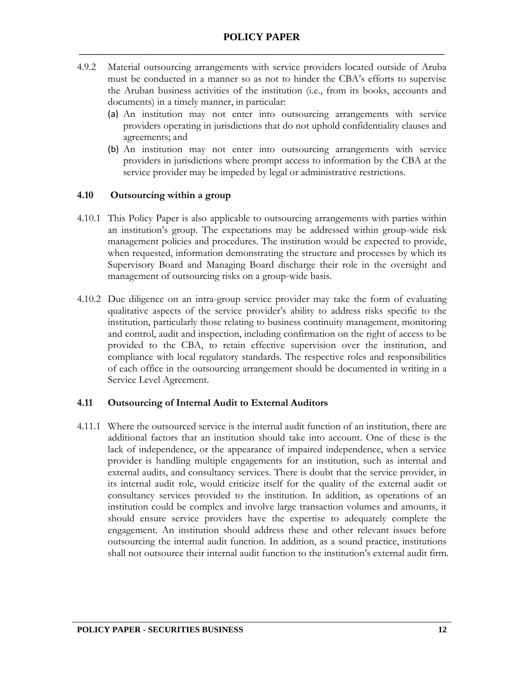- 4.9.2 Material outsourcing arrangements with service providers located outside of Aruba must be conducted in a manner so as not to hinder the CBA's efforts to supervise the Aruban business activities of the institution (i.e., from its books, accounts and documents) in a timely manner, in particular:
	- (a) An institution may not enter into outsourcing arrangements with service providers operating in jurisdictions that do not uphold confidentiality clauses and agreements; and
	- (b) An institution may not enter into outsourcing arrangements with service providers in jurisdictions where prompt access to information by the CBA at the service provider may be impeded by legal or administrative restrictions.

#### **4.10 Outsourcing within a group**

- 4.10.1 This Policy Paper is also applicable to outsourcing arrangements with parties within an institution's group. The expectations may be addressed within group-wide risk management policies and procedures. The institution would be expected to provide, when requested, information demonstrating the structure and processes by which its Supervisory Board and Managing Board discharge their role in the oversight and management of outsourcing risks on a group-wide basis.
- 4.10.2 Due diligence on an intra-group service provider may take the form of evaluating qualitative aspects of the service provider's ability to address risks specific to the institution, particularly those relating to business continuity management, monitoring and control, audit and inspection, including confirmation on the right of access to be provided to the CBA, to retain effective supervision over the institution, and compliance with local regulatory standards. The respective roles and responsibilities of each office in the outsourcing arrangement should be documented in writing in a Service Level Agreement.

#### **4.11 Outsourcing of Internal Audit to External Auditors**

4.11.1 Where the outsourced service is the internal audit function of an institution, there are additional factors that an institution should take into account. One of these is the lack of independence, or the appearance of impaired independence, when a service provider is handling multiple engagements for an institution, such as internal and external audits, and consultancy services. There is doubt that the service provider, in its internal audit role, would criticize itself for the quality of the external audit or consultancy services provided to the institution. In addition, as operations of an institution could be complex and involve large transaction volumes and amounts, it should ensure service providers have the expertise to adequately complete the engagement. An institution should address these and other relevant issues before outsourcing the internal audit function. In addition, as a sound practice, institutions shall not outsource their internal audit function to the institution's external audit firm.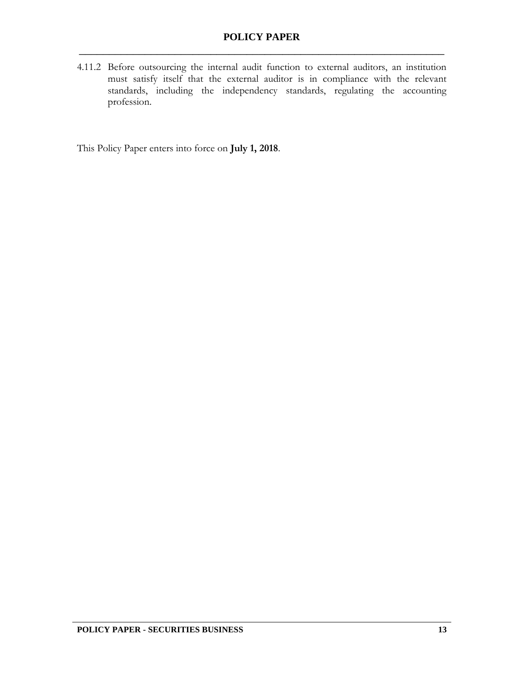4.11.2 Before outsourcing the internal audit function to external auditors, an institution must satisfy itself that the external auditor is in compliance with the relevant standards, including the independency standards, regulating the accounting profession.

This Policy Paper enters into force on **July 1, 2018**.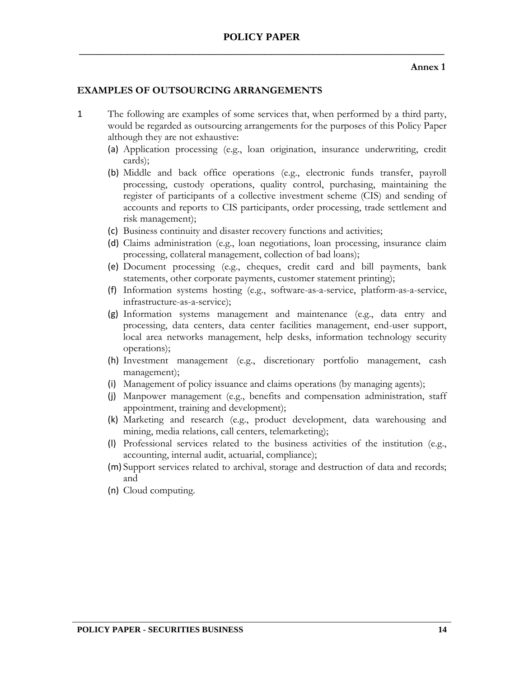## **POLICY PAPER** \_\_\_\_\_\_\_\_\_\_\_\_\_\_\_\_\_\_\_\_\_\_\_\_\_\_\_\_\_\_\_\_\_\_\_\_\_\_\_\_\_\_\_\_\_\_\_\_\_\_\_\_\_\_\_\_\_\_\_\_\_

#### **Annex 1**

#### **EXAMPLES OF OUTSOURCING ARRANGEMENTS**

- 1 The following are examples of some services that, when performed by a third party, would be regarded as outsourcing arrangements for the purposes of this Policy Paper although they are not exhaustive:
	- (a) Application processing (e.g., loan origination, insurance underwriting, credit cards);
	- (b) Middle and back office operations (e.g., electronic funds transfer, payroll processing, custody operations, quality control, purchasing, maintaining the register of participants of a collective investment scheme (CIS) and sending of accounts and reports to CIS participants, order processing, trade settlement and risk management);
	- (c) Business continuity and disaster recovery functions and activities;
	- (d) Claims administration (e.g., loan negotiations, loan processing, insurance claim processing, collateral management, collection of bad loans);
	- (e) Document processing (e.g., cheques, credit card and bill payments, bank statements, other corporate payments, customer statement printing);
	- (f) Information systems hosting (e.g., software-as-a-service, platform-as-a-service, infrastructure-as-a-service);
	- (g) Information systems management and maintenance (e.g., data entry and processing, data centers, data center facilities management, end-user support, local area networks management, help desks, information technology security operations);
	- (h) Investment management (e.g., discretionary portfolio management, cash management);
	- (i) Management of policy issuance and claims operations (by managing agents);
	- (j) Manpower management (e.g., benefits and compensation administration, staff appointment, training and development);
	- (k) Marketing and research (e.g., product development, data warehousing and mining, media relations, call centers, telemarketing);
	- (l) Professional services related to the business activities of the institution (e.g., accounting, internal audit, actuarial, compliance);
	- (m) Support services related to archival, storage and destruction of data and records; and
	- (n) Cloud computing.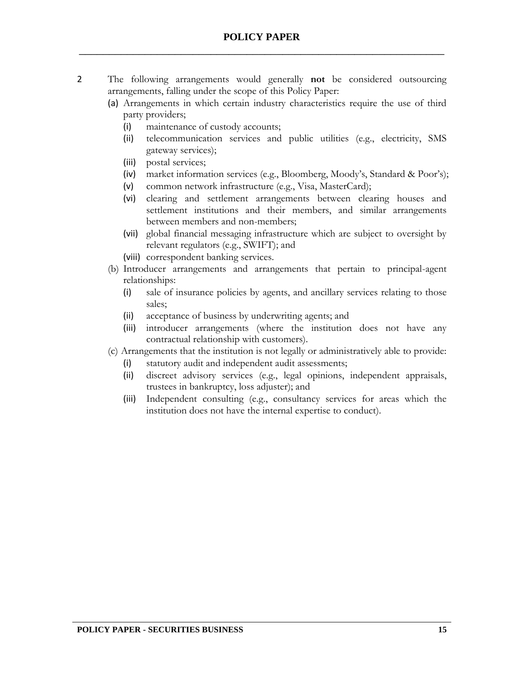- 2 The following arrangements would generally **not** be considered outsourcing arrangements, falling under the scope of this Policy Paper:
	- (a) Arrangements in which certain industry characteristics require the use of third party providers;
		- (i) maintenance of custody accounts;
		- (ii) telecommunication services and public utilities (e.g., electricity, SMS gateway services);
		- (iii) postal services;
		- (iv) market information services (e.g., Bloomberg, Moody's, Standard & Poor's);
		- (v) common network infrastructure (e.g., Visa, MasterCard);
		- (vi) clearing and settlement arrangements between clearing houses and settlement institutions and their members, and similar arrangements between members and non-members;
		- (vii) global financial messaging infrastructure which are subject to oversight by relevant regulators (e.g., SWIFT); and
		- (viii) correspondent banking services.
	- (b) Introducer arrangements and arrangements that pertain to principal-agent relationships:
		- (i) sale of insurance policies by agents, and ancillary services relating to those sales;
		- (ii) acceptance of business by underwriting agents; and
		- (iii) introducer arrangements (where the institution does not have any contractual relationship with customers).
	- (c) Arrangements that the institution is not legally or administratively able to provide:
		- (i) statutory audit and independent audit assessments;
		- (ii) discreet advisory services (e.g., legal opinions, independent appraisals, trustees in bankruptcy, loss adjuster); and
		- (iii) Independent consulting (e.g., consultancy services for areas which the institution does not have the internal expertise to conduct).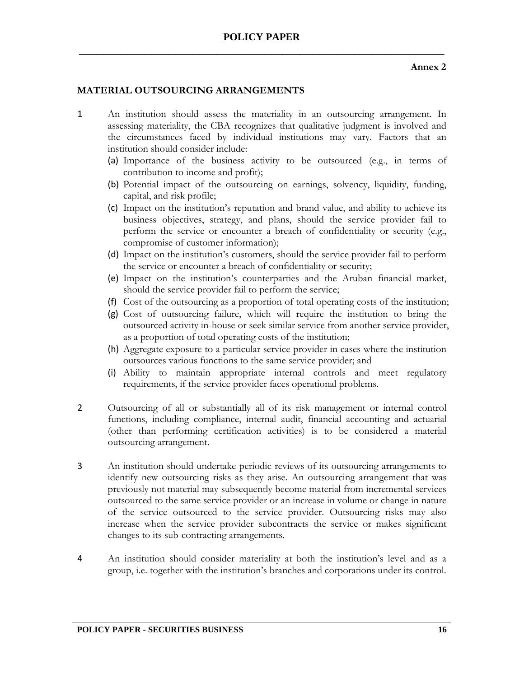# **POLICY PAPER** \_\_\_\_\_\_\_\_\_\_\_\_\_\_\_\_\_\_\_\_\_\_\_\_\_\_\_\_\_\_\_\_\_\_\_\_\_\_\_\_\_\_\_\_\_\_\_\_\_\_\_\_\_\_\_\_\_\_\_\_\_

#### **Annex 2**

#### **MATERIAL OUTSOURCING ARRANGEMENTS**

- 1 An institution should assess the materiality in an outsourcing arrangement. In assessing materiality, the CBA recognizes that qualitative judgment is involved and the circumstances faced by individual institutions may vary. Factors that an institution should consider include:
	- (a) Importance of the business activity to be outsourced (e.g., in terms of contribution to income and profit);
	- (b) Potential impact of the outsourcing on earnings, solvency, liquidity, funding, capital, and risk profile;
	- (c) Impact on the institution's reputation and brand value, and ability to achieve its business objectives, strategy, and plans, should the service provider fail to perform the service or encounter a breach of confidentiality or security (e.g., compromise of customer information);
	- (d) Impact on the institution's customers, should the service provider fail to perform the service or encounter a breach of confidentiality or security;
	- (e) Impact on the institution's counterparties and the Aruban financial market, should the service provider fail to perform the service;
	- (f) Cost of the outsourcing as a proportion of total operating costs of the institution;
	- (g) Cost of outsourcing failure, which will require the institution to bring the outsourced activity in-house or seek similar service from another service provider, as a proportion of total operating costs of the institution;
	- (h) Aggregate exposure to a particular service provider in cases where the institution outsources various functions to the same service provider; and
	- (i) Ability to maintain appropriate internal controls and meet regulatory requirements, if the service provider faces operational problems.
- 2 Outsourcing of all or substantially all of its risk management or internal control functions, including compliance, internal audit, financial accounting and actuarial (other than performing certification activities) is to be considered a material outsourcing arrangement.
- 3 An institution should undertake periodic reviews of its outsourcing arrangements to identify new outsourcing risks as they arise. An outsourcing arrangement that was previously not material may subsequently become material from incremental services outsourced to the same service provider or an increase in volume or change in nature of the service outsourced to the service provider. Outsourcing risks may also increase when the service provider subcontracts the service or makes significant changes to its sub-contracting arrangements.
- 4 An institution should consider materiality at both the institution's level and as a group, i.e. together with the institution's branches and corporations under its control.